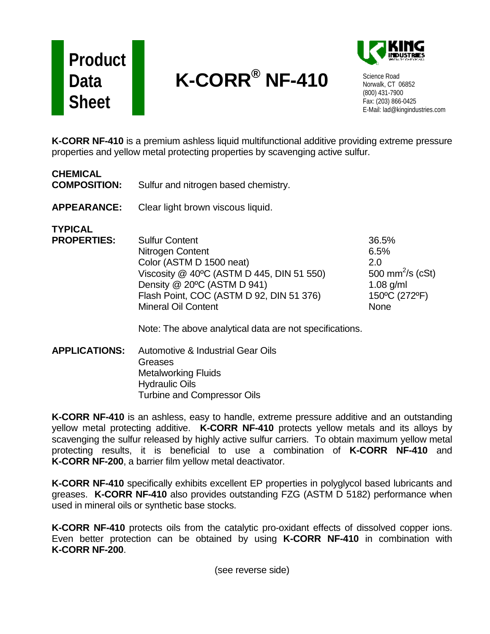## **Product Data Sheet**

## **K-CORR® NF-410**



Science Road Norwalk, CT 06852 (800) 431-7900 Fax: (203) 866-0425 E-Mail: lad@kingindustries.com

**K-CORR NF-410** is a premium ashless liquid multifunctional additive providing extreme pressure properties and yellow metal protecting properties by scavenging active sulfur.

| <b>CHEMICAL</b><br><b>COMPOSITION:</b> | Sulfur and nitrogen based chemistry.                                                                                                                                                                                                                                                   |                                                                                                     |
|----------------------------------------|----------------------------------------------------------------------------------------------------------------------------------------------------------------------------------------------------------------------------------------------------------------------------------------|-----------------------------------------------------------------------------------------------------|
| <b>APPEARANCE:</b>                     | Clear light brown viscous liquid.                                                                                                                                                                                                                                                      |                                                                                                     |
| <b>TYPICAL</b><br><b>PROPERTIES:</b>   | <b>Sulfur Content</b><br>Nitrogen Content<br>Color (ASTM D 1500 neat)<br>Viscosity @ 40°C (ASTM D 445, DIN 51 550)<br>Density @ 20°C (ASTM D 941)<br>Flash Point, COC (ASTM D 92, DIN 51 376)<br><b>Mineral Oil Content</b><br>Note: The above analytical data are not specifications. | 36.5%<br>6.5%<br>2.0<br>500 mm <sup>2</sup> /s (cSt)<br>$1.08$ g/ml<br>150°C (272°F)<br><b>None</b> |

**APPLICATIONS:** Automotive & Industrial Gear Oils **Greases** Metalworking Fluids Hydraulic Oils Turbine and Compressor Oils

**K-CORR NF-410** is an ashless, easy to handle, extreme pressure additive and an outstanding yellow metal protecting additive. **K-CORR NF-410** protects yellow metals and its alloys by scavenging the sulfur released by highly active sulfur carriers. To obtain maximum yellow metal protecting results, it is beneficial to use a combination of **K-CORR NF-410** and **K-CORR NF-200**, a barrier film yellow metal deactivator.

**K-CORR NF-410** specifically exhibits excellent EP properties in polyglycol based lubricants and greases. **K-CORR NF-410** also provides outstanding FZG (ASTM D 5182) performance when used in mineral oils or synthetic base stocks.

**K-CORR NF-410** protects oils from the catalytic pro-oxidant effects of dissolved copper ions. Even better protection can be obtained by using **K-CORR NF-410** in combination with **K-CORR NF-200**.

(see reverse side)